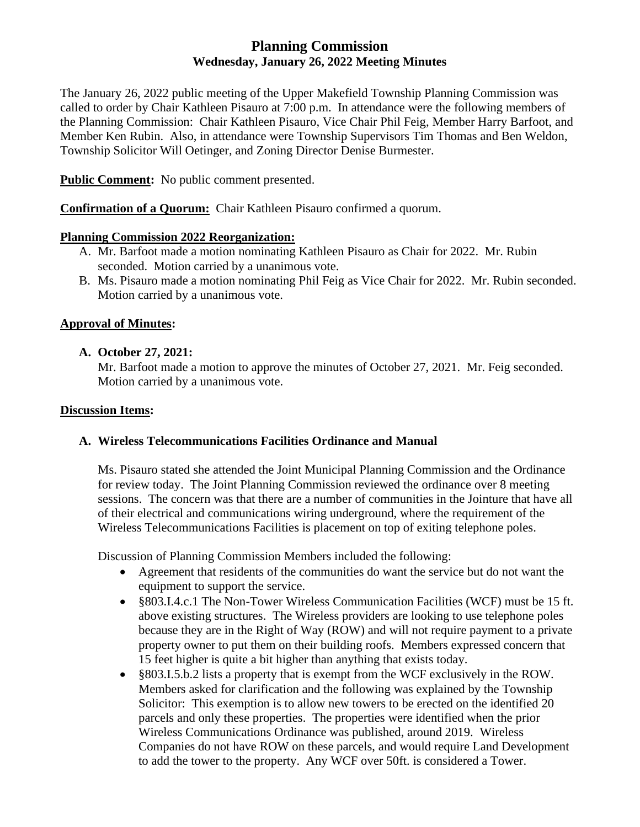# **Planning Commission Wednesday, January 26, 2022 Meeting Minutes**

The January 26, 2022 public meeting of the Upper Makefield Township Planning Commission was called to order by Chair Kathleen Pisauro at 7:00 p.m. In attendance were the following members of the Planning Commission: Chair Kathleen Pisauro, Vice Chair Phil Feig, Member Harry Barfoot, and Member Ken Rubin. Also, in attendance were Township Supervisors Tim Thomas and Ben Weldon, Township Solicitor Will Oetinger, and Zoning Director Denise Burmester.

**Public Comment:** No public comment presented.

**Confirmation of a Quorum:** Chair Kathleen Pisauro confirmed a quorum.

#### **Planning Commission 2022 Reorganization:**

- A. Mr. Barfoot made a motion nominating Kathleen Pisauro as Chair for 2022. Mr. Rubin seconded. Motion carried by a unanimous vote.
- B. Ms. Pisauro made a motion nominating Phil Feig as Vice Chair for 2022. Mr. Rubin seconded. Motion carried by a unanimous vote.

#### **Approval of Minutes:**

#### **A. October 27, 2021:**

Mr. Barfoot made a motion to approve the minutes of October 27, 2021. Mr. Feig seconded. Motion carried by a unanimous vote.

#### **Discussion Items:**

## **A. Wireless Telecommunications Facilities Ordinance and Manual**

Ms. Pisauro stated she attended the Joint Municipal Planning Commission and the Ordinance for review today. The Joint Planning Commission reviewed the ordinance over 8 meeting sessions. The concern was that there are a number of communities in the Jointure that have all of their electrical and communications wiring underground, where the requirement of the Wireless Telecommunications Facilities is placement on top of exiting telephone poles.

Discussion of Planning Commission Members included the following:

- Agreement that residents of the communities do want the service but do not want the equipment to support the service.
- §803.I.4.c.1 The Non-Tower Wireless Communication Facilities (WCF) must be 15 ft. above existing structures. The Wireless providers are looking to use telephone poles because they are in the Right of Way (ROW) and will not require payment to a private property owner to put them on their building roofs. Members expressed concern that 15 feet higher is quite a bit higher than anything that exists today.
- §803.I.5.b.2 lists a property that is exempt from the WCF exclusively in the ROW. Members asked for clarification and the following was explained by the Township Solicitor: This exemption is to allow new towers to be erected on the identified 20 parcels and only these properties. The properties were identified when the prior Wireless Communications Ordinance was published, around 2019. Wireless Companies do not have ROW on these parcels, and would require Land Development to add the tower to the property. Any WCF over 50ft. is considered a Tower.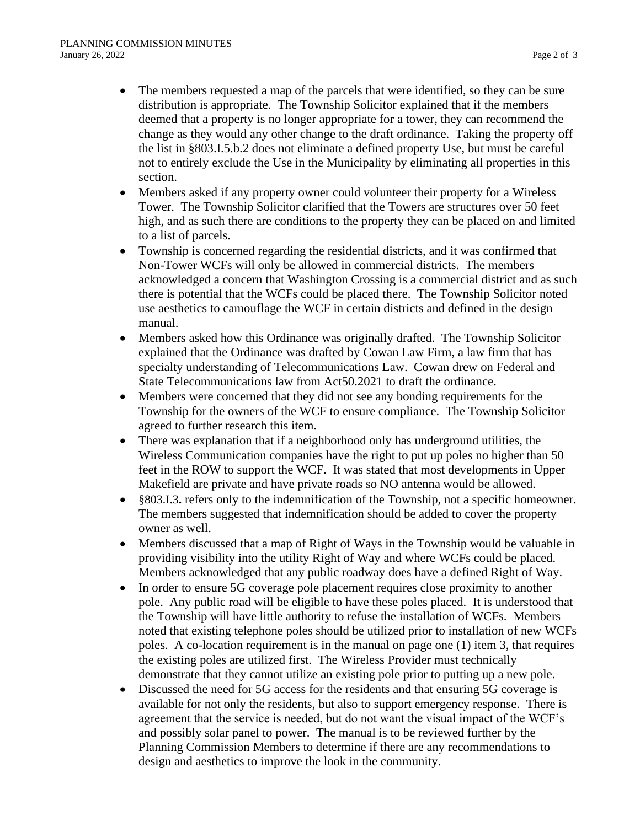- The members requested a map of the parcels that were identified, so they can be sure distribution is appropriate. The Township Solicitor explained that if the members deemed that a property is no longer appropriate for a tower, they can recommend the change as they would any other change to the draft ordinance. Taking the property off the list in §803.I.5.b.2 does not eliminate a defined property Use, but must be careful not to entirely exclude the Use in the Municipality by eliminating all properties in this section.
- Members asked if any property owner could volunteer their property for a Wireless Tower. The Township Solicitor clarified that the Towers are structures over 50 feet high, and as such there are conditions to the property they can be placed on and limited to a list of parcels.
- Township is concerned regarding the residential districts, and it was confirmed that Non-Tower WCFs will only be allowed in commercial districts. The members acknowledged a concern that Washington Crossing is a commercial district and as such there is potential that the WCFs could be placed there. The Township Solicitor noted use aesthetics to camouflage the WCF in certain districts and defined in the design manual.
- Members asked how this Ordinance was originally drafted. The Township Solicitor explained that the Ordinance was drafted by Cowan Law Firm, a law firm that has specialty understanding of Telecommunications Law. Cowan drew on Federal and State Telecommunications law from Act50.2021 to draft the ordinance.
- Members were concerned that they did not see any bonding requirements for the Township for the owners of the WCF to ensure compliance. The Township Solicitor agreed to further research this item.
- There was explanation that if a neighborhood only has underground utilities, the Wireless Communication companies have the right to put up poles no higher than 50 feet in the ROW to support the WCF. It was stated that most developments in Upper Makefield are private and have private roads so NO antenna would be allowed.
- §803.I.3**.** refers only to the indemnification of the Township, not a specific homeowner. The members suggested that indemnification should be added to cover the property owner as well.
- Members discussed that a map of Right of Ways in the Township would be valuable in providing visibility into the utility Right of Way and where WCFs could be placed. Members acknowledged that any public roadway does have a defined Right of Way.
- In order to ensure 5G coverage pole placement requires close proximity to another pole. Any public road will be eligible to have these poles placed. It is understood that the Township will have little authority to refuse the installation of WCFs. Members noted that existing telephone poles should be utilized prior to installation of new WCFs poles. A co-location requirement is in the manual on page one (1) item 3, that requires the existing poles are utilized first. The Wireless Provider must technically demonstrate that they cannot utilize an existing pole prior to putting up a new pole.
- Discussed the need for 5G access for the residents and that ensuring 5G coverage is available for not only the residents, but also to support emergency response. There is agreement that the service is needed, but do not want the visual impact of the WCF's and possibly solar panel to power. The manual is to be reviewed further by the Planning Commission Members to determine if there are any recommendations to design and aesthetics to improve the look in the community.